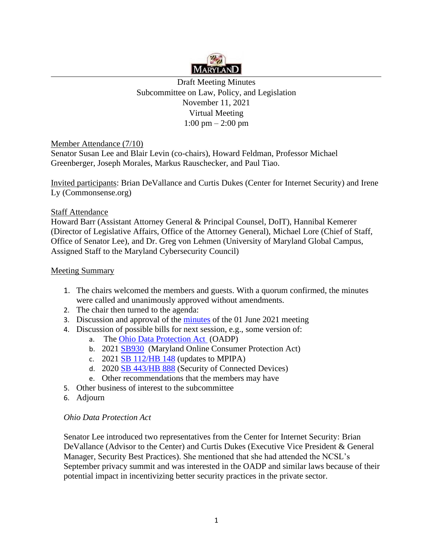

Draft Meeting Minutes Subcommittee on Law, Policy, and Legislation November 11, 2021 Virtual Meeting 1:00 pm – 2:00 pm

Member Attendance (7/10)

Senator Susan Lee and Blair Levin (co-chairs), Howard Feldman, Professor Michael Greenberger, Joseph Morales, Markus Rauschecker, and Paul Tiao.

Invited participants: Brian DeVallance and Curtis Dukes (Center for Internet Security) and Irene Ly [\(Commonsense.org\)](http://Commonsense.org)

# Staff Attendance

Howard Barr (Assistant Attorney General & Principal Counsel, DoIT), Hannibal Kemerer (Director of Legislative Affairs, Office of the Attorney General), Michael Lore (Chief of Staff, Office of Senator Lee), and Dr. Greg von Lehmen (University of Maryland Global Campus, Assigned Staff to the Maryland Cybersecurity Council)

# Meeting Summary

- 1. The chairs welcomed the members and guests. With a quorum confirmed, the minutes were called and unanimously approved without amendments.
- 2. The chair then turned to the agenda:
- 3. Discussion and approval of the [minutes](https://www.umgc.edu/documents/upload/Draft-Minutes-for-June-1-2021.pdf) of the 01 June 2021 meeting
- 4. Discussion of possible bills for next session, e.g., some version of:
	- a. The [Ohio Data Protection Act](https://search-prod.lis.state.oh.us/solarapi/v1/general_assembly_132/bills/sb220/EN/05/sb220_05_EN?format=pdf) (OADP)
	- b. 2021 [SB930](https://mgaleg.maryland.gov/2021RS/bills/sb/sb0930F.pdf) (Maryland Online Consumer Protection Act)
	- c. 2021 SB [112/HB 148](https://mgaleg.maryland.gov/2021RS/bills/sb/sb0112F.pdf) (updates to MPIPA)
	- d. 2020 SB [443/HB 888](https://mgaleg.maryland.gov/2020RS/bills/sb/sb0443F.pdf) (Security of Connected Devices)
	- e. Other recommendations that the members may have
- 5. Other business of interest to the subcommittee
- 6. Adjourn

## *Ohio Data Protection Act*

Senator Lee introduced two representatives from the Center for Internet Security: Brian DeVallance (Advisor to the Center) and Curtis Dukes (Executive Vice President & General Manager, Security Best Practices). She mentioned that she had attended the NCSL's September privacy summit and was interested in the OADP and similar laws because of their potential impact in incentivizing better security practices in the private sector.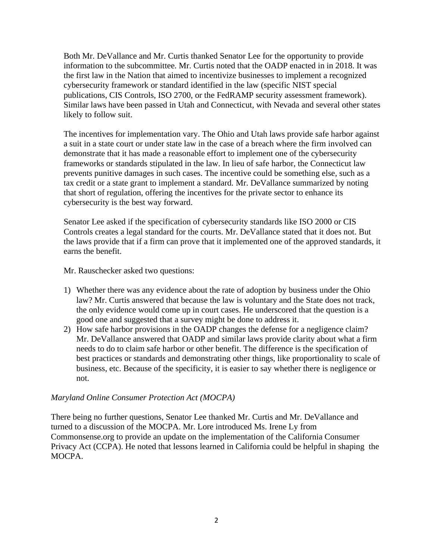Both Mr. DeVallance and Mr. Curtis thanked Senator Lee for the opportunity to provide information to the subcommittee. Mr. Curtis noted that the OADP enacted in in 2018. It was the first law in the Nation that aimed to incentivize businesses to implement a recognized cybersecurity framework or standard identified in the law (specific NIST special publications, CIS Controls, ISO 2700, or the FedRAMP security assessment framework). Similar laws have been passed in Utah and Connecticut, with Nevada and several other states likely to follow suit.

The incentives for implementation vary. The Ohio and Utah laws provide safe harbor against a suit in a state court or under state law in the case of a breach where the firm involved can demonstrate that it has made a reasonable effort to implement one of the cybersecurity frameworks or standards stipulated in the law. In lieu of safe harbor, the Connecticut law prevents punitive damages in such cases. The incentive could be something else, such as a tax credit or a state grant to implement a standard. Mr. DeVallance summarized by noting that short of regulation, offering the incentives for the private sector to enhance its cybersecurity is the best way forward.

Senator Lee asked if the specification of cybersecurity standards like ISO 2000 or CIS Controls creates a legal standard for the courts. Mr. DeVallance stated that it does not. But the laws provide that if a firm can prove that it implemented one of the approved standards, it earns the benefit.

Mr. Rauschecker asked two questions:

- 1) Whether there was any evidence about the rate of adoption by business under the Ohio law? Mr. Curtis answered that because the law is voluntary and the State does not track, the only evidence would come up in court cases. He underscored that the question is a good one and suggested that a survey might be done to address it.
- 2) How safe harbor provisions in the OADP changes the defense for a negligence claim? Mr. DeVallance answered that OADP and similar laws provide clarity about what a firm needs to do to claim safe harbor or other benefit. The difference is the specification of best practices or standards and demonstrating other things, like proportionality to scale of business, etc. Because of the specificity, it is easier to say whether there is negligence or not.

## *Maryland Online Consumer Protection Act (MOCPA)*

There being no further questions, Senator Lee thanked Mr. Curtis and Mr. DeVallance and turned to a discussion of the MOCPA. Mr. Lore introduced Ms. Irene Ly from [Commonsense.org](http://Commonsense.org) to provide an update on the implementation of the California Consumer Privacy Act (CCPA). He noted that lessons learned in California could be helpful in shaping the MOCPA.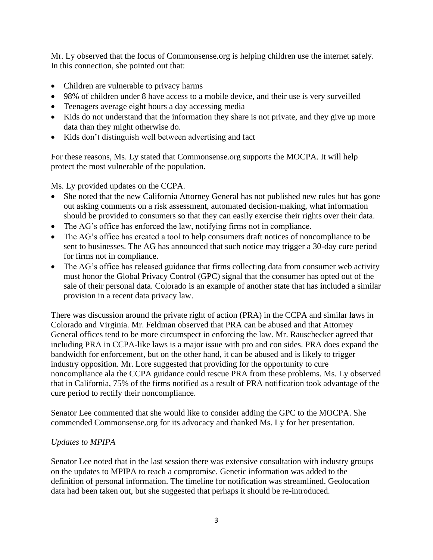Mr. Ly observed that the focus of [Commonsense.org](http://Commonsense.org) is helping children use the internet safely. In this connection, she pointed out that:

- Children are vulnerable to privacy harms
- 98% of children under 8 have access to a mobile device, and their use is very surveilled
- Teenagers average eight hours a day accessing media
- Kids do not understand that the information they share is not private, and they give up more data than they might otherwise do.
- Kids don't distinguish well between advertising and fact

For these reasons, Ms. Ly stated that [Commonsense.org](http://Commonsense.org) supports the MOCPA. It will help protect the most vulnerable of the population.

Ms. Ly provided updates on the CCPA.

- She noted that the new California Attorney General has not published new rules but has gone out asking comments on a risk assessment, automated decision-making, what information should be provided to consumers so that they can easily exercise their rights over their data.
- The AG's office has enforced the law, notifying firms not in compliance.
- The AG's office has created a tool to help consumers draft notices of noncompliance to be sent to businesses. The AG has announced that such notice may trigger a 30-day cure period for firms not in compliance.
- The AG's office has released guidance that firms collecting data from consumer web activity must honor the Global Privacy Control (GPC) signal that the consumer has opted out of the sale of their personal data. Colorado is an example of another state that has included a similar provision in a recent data privacy law.

There was discussion around the private right of action (PRA) in the CCPA and similar laws in Colorado and Virginia. Mr. Feldman observed that PRA can be abused and that Attorney General offices tend to be more circumspect in enforcing the law. Mr. Rauschecker agreed that including PRA in CCPA-like laws is a major issue with pro and con sides. PRA does expand the bandwidth for enforcement, but on the other hand, it can be abused and is likely to trigger industry opposition. Mr. Lore suggested that providing for the opportunity to cure noncompliance ala the CCPA guidance could rescue PRA from these problems. Ms. Ly observed that in California, 75% of the firms notified as a result of PRA notification took advantage of the cure period to rectify their noncompliance.

Senator Lee commented that she would like to consider adding the GPC to the MOCPA. She commended [Commonsense.org](http://Commonsense.org) for its advocacy and thanked Ms. Ly for her presentation.

# *Updates to MPIPA*

Senator Lee noted that in the last session there was extensive consultation with industry groups on the updates to MPIPA to reach a compromise. Genetic information was added to the definition of personal information. The timeline for notification was streamlined. Geolocation data had been taken out, but she suggested that perhaps it should be re-introduced.